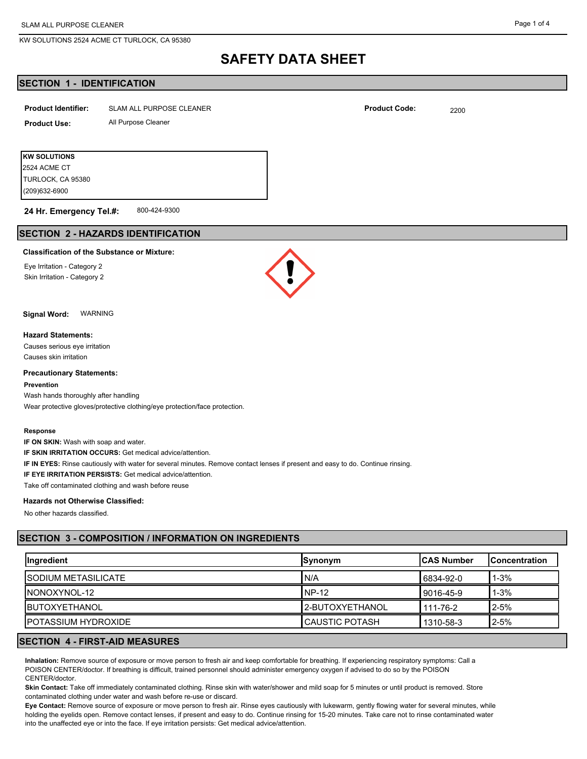KW SOLUTIONS 2524 ACME CT TURLOCK, CA 95380

#### Page 1 of 4

# **SAFETY DATA SHEET**

## **SECTION 1 - IDENTIFICATION**

| <b>Product Identifier:</b> | SLAM ALL PURPOSE CLEANER | <b>Product Code:</b> | 2200 |
|----------------------------|--------------------------|----------------------|------|
| <b>Product Use:</b>        | All Purpose Cleaner      |                      |      |
|                            |                          |                      |      |
| <b>KW SOLUTIONS</b>        |                          |                      |      |
| 2524 ACME CT               |                          |                      |      |

800-424-9300 **24 Hr. Emergency Tel.#:**

## **SECTION 2 - HAZARDS IDENTIFICATION**

### **Classification of the Substance or Mixture:**

Eye Irritation - Category 2 Skin Irritation - Category 2

(209)632-6900 TURLOCK, CA 95380



**Signal Word:** WARNING

#### **Hazard Statements:**

Causes serious eye irritation Causes skin irritation

#### **Precautionary Statements:**

**Prevention**

Wash hands thoroughly after handling Wear protective gloves/protective clothing/eye protection/face protection.

#### **Response**

**IF ON SKIN:** Wash with soap and water.

**IF SKIN IRRITATION OCCURS:** Get medical advice/attention.

**IF IN EYES:** Rinse cautiously with water for several minutes. Remove contact lenses if present and easy to do. Continue rinsing.

**IF EYE IRRITATION PERSISTS:** Get medical advice/attention.

Take off contaminated clothing and wash before reuse

## **Hazards not Otherwise Classified:**

No other hazards classified.

# **SECTION 3 - COMPOSITION / INFORMATION ON INGREDIENTS**

| Ingredient            | Synonym           | <b>ICAS Number</b> | lConcentration |
|-----------------------|-------------------|--------------------|----------------|
| ISODIUM METASILICATE  | N/A               | 16834-92-0         | $1 - 3%$       |
| INONOXYNOL-12         | NP-12             | l 9016-45-9        | $1 - 3%$       |
| <b>IBUTOXYETHANOL</b> | l 2-BUTOXYETHANOL | 111-76-2           | $2 - 5%$       |
| IPOTASSIUM HYDROXIDE  | I CAUSTIC POTASH  | 1310-58-3          | $2 - 5%$       |

# **SECTION 4 - FIRST-AID MEASURES**

**Inhalation:** Remove source of exposure or move person to fresh air and keep comfortable for breathing. If experiencing respiratory symptoms: Call a POISON CENTER/doctor. If breathing is difficult, trained personnel should administer emergency oxygen if advised to do so by the POISON CENTER/doctor.

**Skin Contact:** Take off immediately contaminated clothing. Rinse skin with water/shower and mild soap for 5 minutes or until product is removed. Store contaminated clothing under water and wash before re-use or discard.

**Eye Contact:** Remove source of exposure or move person to fresh air. Rinse eyes cautiously with lukewarm, gently flowing water for several minutes, while holding the eyelids open. Remove contact lenses, if present and easy to do. Continue rinsing for 15-20 minutes. Take care not to rinse contaminated water into the unaffected eye or into the face. If eye irritation persists: Get medical advice/attention.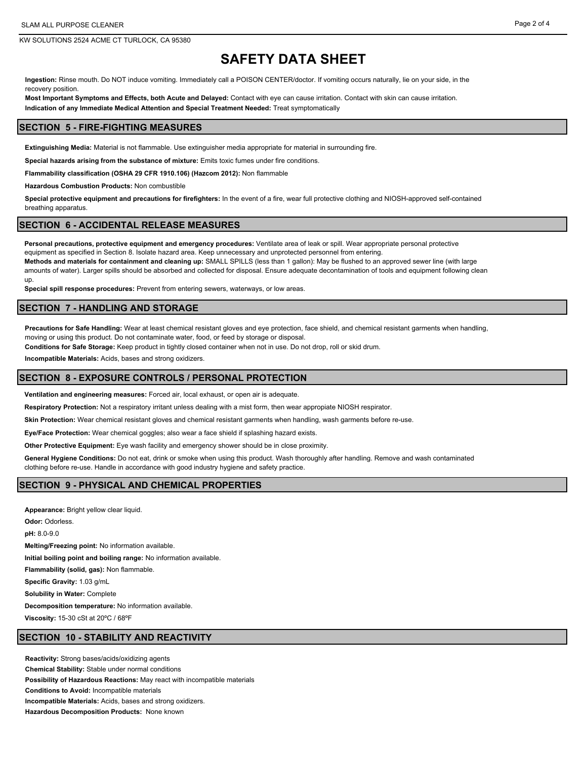KW SOLUTIONS 2524 ACME CT TURLOCK, CA 95380

# **SAFETY DATA SHEET**

**Ingestion:** Rinse mouth. Do NOT induce vomiting. Immediately call a POISON CENTER/doctor. If vomiting occurs naturally, lie on your side, in the recovery position.

**Most Important Symptoms and Effects, both Acute and Delayed:** Contact with eye can cause irritation. Contact with skin can cause irritation. **Indication of any Immediate Medical Attention and Special Treatment Needed:** Treat symptomatically

## **SECTION 5 - FIRE-FIGHTING MEASURES**

**Extinguishing Media:** Material is not flammable. Use extinguisher media appropriate for material in surrounding fire.

**Special hazards arising from the substance of mixture:** Emits toxic fumes under fire conditions.

**Flammability classification (OSHA 29 CFR 1910.106) (Hazcom 2012):** Non flammable

**Hazardous Combustion Products:** Non combustible

**Special protective equipment and precautions for firefighters:** In the event of a fire, wear full protective clothing and NIOSH-approved self-contained breathing apparatus.

### **SECTION 6 - ACCIDENTAL RELEASE MEASURES**

**Personal precautions, protective equipment and emergency procedures:** Ventilate area of leak or spill. Wear appropriate personal protective equipment as specified in Section 8. Isolate hazard area. Keep unnecessary and unprotected personnel from entering. **Methods and materials for containment and cleaning up:** SMALL SPILLS (less than 1 gallon): May be flushed to an approved sewer line (with large amounts of water). Larger spills should be absorbed and collected for disposal. Ensure adequate decontamination of tools and equipment following clean up.

**Special spill response procedures:** Prevent from entering sewers, waterways, or low areas.

## **SECTION 7 - HANDLING AND STORAGE**

**Precautions for Safe Handling:** Wear at least chemical resistant gloves and eye protection, face shield, and chemical resistant garments when handling, moving or using this product. Do not contaminate water, food, or feed by storage or disposal.

**Conditions for Safe Storage:** Keep product in tightly closed container when not in use. Do not drop, roll or skid drum.

**Incompatible Materials:** Acids, bases and strong oxidizers.

## **SECTION 8 - EXPOSURE CONTROLS / PERSONAL PROTECTION**

**Ventilation and engineering measures:** Forced air, local exhaust, or open air is adequate.

**Respiratory Protection:** Not a respiratory irritant unless dealing with a mist form, then wear appropiate NIOSH respirator.

**Skin Protection:** Wear chemical resistant gloves and chemical resistant garments when handling, wash garments before re-use.

**Eye/Face Protection:** Wear chemical goggles; also wear a face shield if splashing hazard exists.

**Other Protective Equipment:** Eye wash facility and emergency shower should be in close proximity.

**General Hygiene Conditions:** Do not eat, drink or smoke when using this product. Wash thoroughly after handling. Remove and wash contaminated clothing before re-use. Handle in accordance with good industry hygiene and safety practice.

## **SECTION 9 - PHYSICAL AND CHEMICAL PROPERTIES**

**Appearance:** Bright yellow clear liquid. **Odor:** Odorless. **pH:** 8.0-9.0 **Melting/Freezing point:** No information available. **Initial boiling point and boiling range:** No information available. **Flammability (solid, gas):** Non flammable. **Specific Gravity:** 1.03 g/mL **Solubility in Water:** Complete **Decomposition temperature:** No information available.

**Viscosity:** 15-30 cSt at 20ºC / 68ºF

## **SECTION 10 - STABILITY AND REACTIVITY**

**Reactivity:** Strong bases/acids/oxidizing agents **Chemical Stability:** Stable under normal conditions **Possibility of Hazardous Reactions:** May react with incompatible materials **Conditions to Avoid:** Incompatible materials **Incompatible Materials:** Acids, bases and strong oxidizers. **Hazardous Decomposition Products:** None known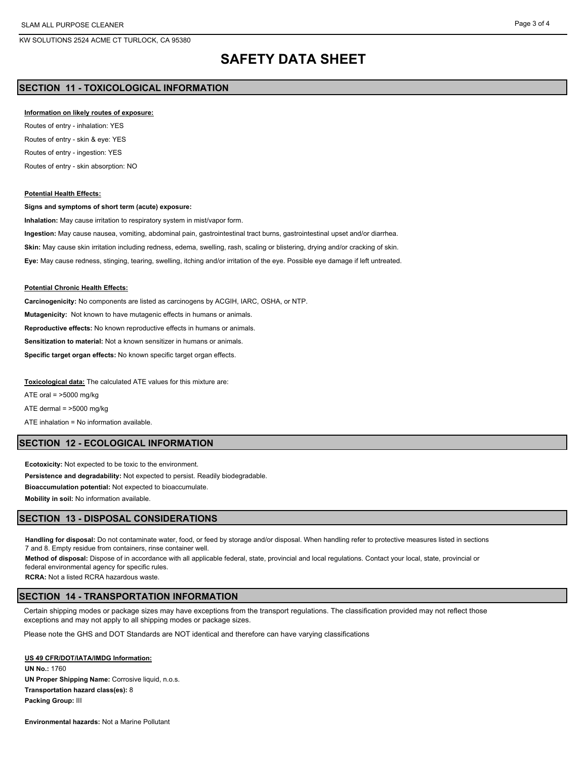# **SAFETY DATA SHEET**

# **SECTION 11 - TOXICOLOGICAL INFORMATION**

#### **Information on likely routes of exposure:**

Routes of entry - inhalation: YES Routes of entry - skin & eye: YES Routes of entry - ingestion: YES Routes of entry - skin absorption: NO

#### **Potential Health Effects:**

#### **Signs and symptoms of short term (acute) exposure:**

**Inhalation:** May cause irritation to respiratory system in mist/vapor form.

**Ingestion:** May cause nausea, vomiting, abdominal pain, gastrointestinal tract burns, gastrointestinal upset and/or diarrhea. **Skin:** May cause skin irritation including redness, edema, swelling, rash, scaling or blistering, drying and/or cracking of skin. **Eye:** May cause redness, stinging, tearing, swelling, itching and/or irritation of the eye. Possible eye damage if left untreated.

#### **Potential Chronic Health Effects:**

**Carcinogenicity:** No components are listed as carcinogens by ACGIH, IARC, OSHA, or NTP.

**Mutagenicity:** Not known to have mutagenic effects in humans or animals.

**Reproductive effects:** No known reproductive effects in humans or animals.

**Sensitization to material:** Not a known sensitizer in humans or animals.

**Specific target organ effects:** No known specific target organ effects.

**Toxicological data:** The calculated ATE values for this mixture are:

ATE oral =  $>5000$  mg/kg

ATE dermal = >5000 mg/kg

ATE inhalation = No information available.

## **SECTION 12 - ECOLOGICAL INFORMATION**

**Ecotoxicity:** Not expected to be toxic to the environment. **Persistence and degradability:** Not expected to persist. Readily biodegradable. **Bioaccumulation potential:** Not expected to bioaccumulate. **Mobility in soil:** No information available.

## **SECTION 13 - DISPOSAL CONSIDERATIONS**

**Handling for disposal:** Do not contaminate water, food, or feed by storage and/or disposal. When handling refer to protective measures listed in sections 7 and 8. Empty residue from containers, rinse container well.

**Method of disposal:** Dispose of in accordance with all applicable federal, state, provincial and local regulations. Contact your local, state, provincial or federal environmental agency for specific rules.

**RCRA:** Not a listed RCRA hazardous waste.

## **SECTION 14 - TRANSPORTATION INFORMATION**

Certain shipping modes or package sizes may have exceptions from the transport regulations. The classification provided may not reflect those exceptions and may not apply to all shipping modes or package sizes.

Please note the GHS and DOT Standards are NOT identical and therefore can have varying classifications

#### **US 49 CFR/DOT/IATA/IMDG Information:**

**UN No.:** 1760 **UN Proper Shipping Name:** Corrosive liquid, n.o.s. **Transportation hazard class(es):** 8 **Packing Group:** III

**Environmental hazards:** Not a Marine Pollutant